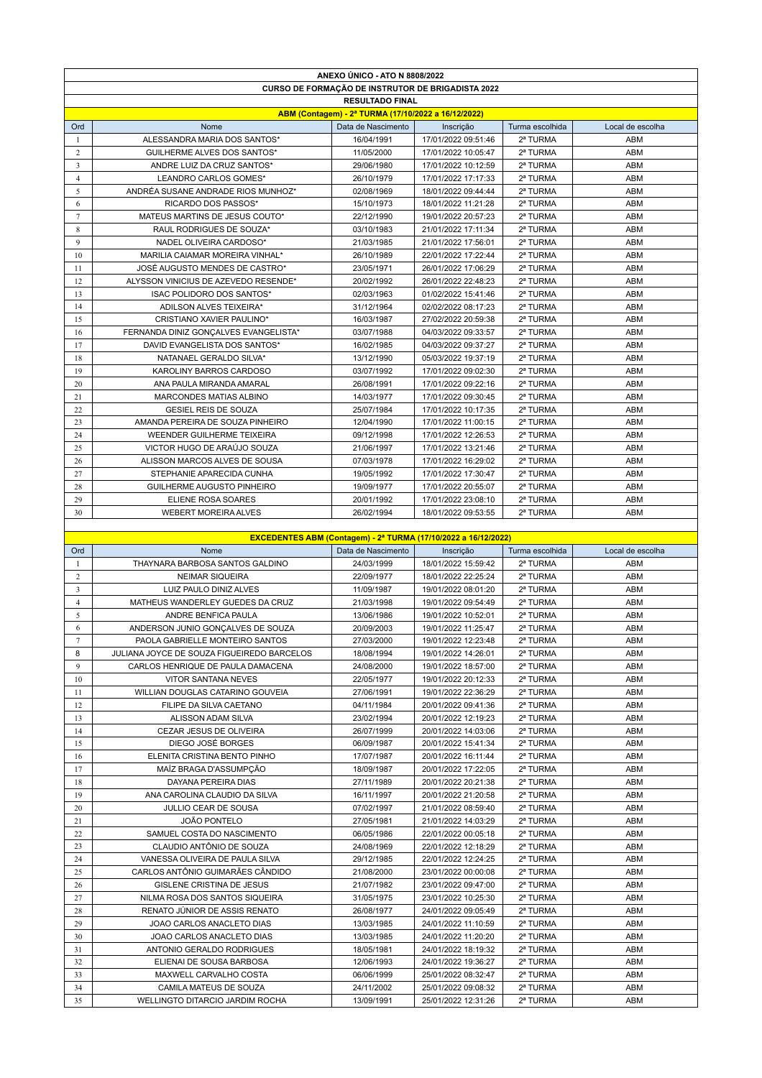|                         | ANEXO UNICO - ATO N 8808/2022                             |                                                     |                                                                       |                      |                  |  |  |
|-------------------------|-----------------------------------------------------------|-----------------------------------------------------|-----------------------------------------------------------------------|----------------------|------------------|--|--|
|                         | <b>CURSO DE FORMAÇÃO DE INSTRUTOR DE BRIGADISTA 2022</b>  |                                                     |                                                                       |                      |                  |  |  |
|                         | <b>RESULTADO FINAL</b>                                    |                                                     |                                                                       |                      |                  |  |  |
|                         |                                                           | ABM (Contagem) - 2ª TURMA (17/10/2022 a 16/12/2022) |                                                                       |                      |                  |  |  |
| Ord                     | Nome                                                      | Data de Nascimento                                  | Inscrição                                                             | Turma escolhida      | Local de escolha |  |  |
| -1                      | ALESSANDRA MARIA DOS SANTOS*                              | 16/04/1991                                          | 17/01/2022 09:51:46                                                   | 2ª TURMA             | ABM              |  |  |
| 2                       | <b>GUILHERME ALVES DOS SANTOS*</b>                        | 11/05/2000                                          | 17/01/2022 10:05:47                                                   | 2ª TURMA             | ABM              |  |  |
| $\overline{\mathbf{3}}$ | ANDRE LUIZ DA CRUZ SANTOS*                                | 29/06/1980                                          | 17/01/2022 10:12:59                                                   | 2ª TURMA             | ABM              |  |  |
| $\overline{4}$          | LEANDRO CARLOS GOMES*                                     | 26/10/1979                                          | 17/01/2022 17:17:33                                                   | 2ª TURMA             | ABM              |  |  |
| 5                       | ANDRÉA SUSANE ANDRADE RIOS MUNHOZ*                        | 02/08/1969                                          | 18/01/2022 09:44:44                                                   | 2ª TURMA             | ABM              |  |  |
| 6                       | RICARDO DOS PASSOS*                                       | 15/10/1973                                          | 18/01/2022 11:21:28                                                   | 2ª TURMA             | ABM              |  |  |
| 7                       | MATEUS MARTINS DE JESUS COUTO*                            | 22/12/1990                                          | 19/01/2022 20:57:23                                                   | 2ª TURMA             | ABM              |  |  |
| 8                       | RAUL RODRIGUES DE SOUZA*                                  | 03/10/1983                                          | 21/01/2022 17:11:34                                                   | 2ª TURMA             | ABM              |  |  |
| 9                       | NADEL OLIVEIRA CARDOSO*                                   |                                                     |                                                                       |                      |                  |  |  |
|                         |                                                           | 21/03/1985                                          | 21/01/2022 17:56:01                                                   | 2ª TURMA             | <b>ABM</b>       |  |  |
| 10                      | MARILIA CAIAMAR MOREIRA VINHAL*                           | 26/10/1989                                          | 22/01/2022 17:22:44                                                   | 2ª TURMA             | ABM              |  |  |
| 11                      | JOSÉ AUGUSTO MENDES DE CASTRO*                            | 23/05/1971                                          | 26/01/2022 17:06:29                                                   | 2ª TURMA             | ABM              |  |  |
| 12                      | ALYSSON VINICIUS DE AZEVEDO RESENDE*                      | 20/02/1992                                          | 26/01/2022 22:48:23                                                   | 2ª TURMA             | <b>ABM</b>       |  |  |
| 13                      | ISAC POLIDORO DOS SANTOS*                                 | 02/03/1963                                          | 01/02/2022 15:41:46                                                   | 2ª TURMA             | ABM              |  |  |
| 14                      | ADILSON ALVES TEIXEIRA*                                   | 31/12/1964                                          | 02/02/2022 08:17:23                                                   | 2ª TURMA             | ABM              |  |  |
| 15                      | CRISTIANO XAVIER PAULINO*                                 | 16/03/1987                                          | 27/02/2022 20:59:38                                                   | 2ª TURMA             | ABM              |  |  |
| 16                      | FERNANDA DINIZ GONÇALVES EVANGELISTA*                     | 03/07/1988                                          | 04/03/2022 09:33:57                                                   | 2ª TURMA             | ABM              |  |  |
| 17                      | DAVID EVANGELISTA DOS SANTOS*                             | 16/02/1985                                          | 04/03/2022 09:37:27                                                   | 2ª TURMA             | ABM              |  |  |
| 18                      | NATANAEL GERALDO SILVA*                                   | 13/12/1990                                          | 05/03/2022 19:37:19                                                   | 2ª TURMA             | ABM              |  |  |
| 19                      | KAROLINY BARROS CARDOSO                                   | 03/07/1992                                          | 17/01/2022 09:02:30                                                   | 2ª TURMA             | ABM              |  |  |
| 20                      | ANA PAULA MIRANDA AMARAL                                  | 26/08/1991                                          | 17/01/2022 09:22:16                                                   | 2ª TURMA             | ABM              |  |  |
| 21                      | MARCONDES MATIAS ALBINO                                   | 14/03/1977                                          | 17/01/2022 09:30:45                                                   | 2ª TURMA             | <b>ABM</b>       |  |  |
| 22                      | <b>GESIEL REIS DE SOUZA</b>                               | 25/07/1984                                          | 17/01/2022 10:17:35                                                   | 2ª TURMA             | ABM              |  |  |
| 23                      | AMANDA PEREIRA DE SOUZA PINHEIRO                          | 12/04/1990                                          | 17/01/2022 11:00:15                                                   | 2ª TURMA             | ABM              |  |  |
| 24                      | WEENDER GUILHERME TEIXEIRA                                | 09/12/1998                                          | 17/01/2022 12:26:53                                                   | 2ª TURMA             | <b>ABM</b>       |  |  |
| 25                      | VICTOR HUGO DE ARAÚJO SOUZA                               | 21/06/1997                                          | 17/01/2022 13:21:46                                                   | 2ª TURMA             | ABM              |  |  |
| 26                      | ALISSON MARCOS ALVES DE SOUSA                             | 07/03/1978                                          | 17/01/2022 16:29:02                                                   | 2ª TURMA             | ABM              |  |  |
| 27                      | STEPHANIE APARECIDA CUNHA                                 | 19/05/1992                                          | 17/01/2022 17:30:47                                                   | 2ª TURMA             | <b>ABM</b>       |  |  |
| 28                      | <b>GUILHERME AUGUSTO PINHEIRO</b>                         | 19/09/1977                                          | 17/01/2022 20:55:07                                                   | 2ª TURMA             | ABM              |  |  |
| 29                      | ELIENE ROSA SOARES                                        | 20/01/1992                                          | 17/01/2022 23:08:10                                                   | 2ª TURMA             | ABM              |  |  |
| 30                      | <b>WEBERT MOREIRA ALVES</b>                               | 26/02/1994                                          | 18/01/2022 09:53:55                                                   | 2ª TURMA             | ABM              |  |  |
|                         |                                                           |                                                     |                                                                       |                      |                  |  |  |
|                         |                                                           |                                                     | <b>EXCEDENTES ABM (Contagem) - 2ª TURMA (17/10/2022 a 16/12/2022)</b> |                      |                  |  |  |
|                         |                                                           |                                                     |                                                                       |                      |                  |  |  |
|                         |                                                           |                                                     |                                                                       |                      |                  |  |  |
| <b>Ord</b>              | Nome                                                      | Data de Nascimento                                  | Inscrição                                                             | Turma escolhida      | Local de escolha |  |  |
| -1                      | THAYNARA BARBOSA SANTOS GALDINO                           | 24/03/1999                                          | 18/01/2022 15:59:42                                                   | 2ª TURMA             | ABM              |  |  |
| $\overline{c}$          | <b>NEIMAR SIQUEIRA</b>                                    | 22/09/1977                                          | 18/01/2022 22:25:24                                                   | 2ª TURMA             | ABM              |  |  |
| 3                       | LUIZ PAULO DINIZ ALVES                                    | 11/09/1987                                          | 19/01/2022 08:01:20                                                   | 2ª TURMA             | ABM              |  |  |
| $\overline{4}$          | MATHEUS WANDERLEY GUEDES DA CRUZ                          | 21/03/1998                                          | 19/01/2022 09:54:49                                                   | 2ª TURMA             | ABM              |  |  |
| 5                       | ANDRE BENFICA PAULA                                       | 13/06/1986                                          | 19/01/2022 10:52:01                                                   | 2ª TURMA             | ABM              |  |  |
| 6                       | ANDERSON JUNIO GONCALVES DE SOUZA                         | 20/09/2003                                          | 19/01/2022 11:25:47                                                   | 2ª TURMA             | ABM              |  |  |
| $\overline{7}$          | PAOLA GABRIELLE MONTEIRO SANTOS                           | 27/03/2000                                          | 19/01/2022 12:23:48                                                   | 2ª TURMA             | ABM              |  |  |
| 8                       | JULIANA JOYCE DE SOUZA FIGUEIREDO BARCELOS                | 18/08/1994                                          | 19/01/2022 14:26:01                                                   | 2ª TURMA             | ABM              |  |  |
| 9                       | CARLOS HENRIQUE DE PAULA DAMACENA                         | 24/08/2000                                          | 19/01/2022 18:57:00                                                   | 2ª TURMA             | ABM              |  |  |
| 10                      | VITOR SANTANA NEVES                                       | 22/05/1977                                          | 19/01/2022 20:12:33                                                   | 2ª TURMA             | ABM              |  |  |
| 11                      | WILLIAN DOUGLAS CATARINO GOUVEIA                          | 27/06/1991                                          | 19/01/2022 22:36:29                                                   | 2ª TURMA             | ABM              |  |  |
| 12                      | FILIPE DA SILVA CAETANO                                   | 04/11/1984                                          | 20/01/2022 09:41:36                                                   | 2ª TURMA             | ABM              |  |  |
| 13                      | ALISSON ADAM SILVA                                        | 23/02/1994                                          | 20/01/2022 12:19:23                                                   | 2ª TURMA             | ABM              |  |  |
| 14                      | CEZAR JESUS DE OLIVEIRA                                   | 26/07/1999                                          | 20/01/2022 14:03:06                                                   | 2ª TURMA             | ABM              |  |  |
| 15                      | DIEGO JOSÉ BORGES                                         | 06/09/1987                                          | 20/01/2022 15:41:34                                                   | 2ª TURMA             | ABM              |  |  |
| 16                      | ELENITA CRISTINA BENTO PINHO                              | 17/07/1987                                          | 20/01/2022 16:11:44                                                   | 2ª TURMA             | ABM              |  |  |
| 17                      | MAÍZ BRAGA D'ASSUMPÇÃO                                    | 18/09/1987                                          | 20/01/2022 17:22:05                                                   | 2ª TURMA             | ABM              |  |  |
| 18                      | DAYANA PEREIRA DIAS                                       | 27/11/1989                                          | 20/01/2022 20:21:38                                                   | 2ª TURMA             | ABM              |  |  |
| 19                      | ANA CAROLINA CLAUDIO DA SILVA                             | 16/11/1997                                          | 20/01/2022 21:20:58                                                   | 2ª TURMA             | ABM              |  |  |
| 20                      | JULLIO CEAR DE SOUSA                                      | 07/02/1997                                          | 21/01/2022 08:59:40                                                   | 2ª TURMA             | ABM              |  |  |
| 21                      | JOÃO PONTELO                                              | 27/05/1981                                          | 21/01/2022 14:03:29                                                   | 2ª TURMA             | ABM              |  |  |
| 22                      | SAMUEL COSTA DO NASCIMENTO                                | 06/05/1986                                          | 22/01/2022 00:05:18                                                   | 2ª TURMA             | ABM              |  |  |
| 23                      | CLAUDIO ANTÔNIO DE SOUZA                                  | 24/08/1969                                          | 22/01/2022 12:18:29                                                   | 2ª TURMA             | ABM              |  |  |
| 24                      | VANESSA OLIVEIRA DE PAULA SILVA                           | 29/12/1985                                          | 22/01/2022 12:24:25                                                   | 2ª TURMA             | ABM              |  |  |
| 25                      | CARLOS ANTÔNIO GUIMARÃES CÂNDIDO                          | 21/08/2000                                          | 23/01/2022 00:00:08                                                   | 2ª TURMA             | ABM              |  |  |
| 26                      | GISLENE CRISTINA DE JESUS                                 | 21/07/1982                                          | 23/01/2022 09:47:00                                                   | 2ª TURMA             | ABM              |  |  |
| 27                      |                                                           |                                                     |                                                                       |                      |                  |  |  |
|                         | NILMA ROSA DOS SANTOS SIQUEIRA                            | 31/05/1975                                          | 23/01/2022 10:25:30                                                   | 2ª TURMA             | ABM              |  |  |
| 28                      | RENATO JÚNIOR DE ASSIS RENATO                             | 26/08/1977                                          | 24/01/2022 09:05:49                                                   | 2ª TURMA             | ABM              |  |  |
| 29                      | JOAO CARLOS ANACLETO DIAS                                 | 13/03/1985                                          | 24/01/2022 11:10:59                                                   | 2ª TURMA             | ABM              |  |  |
| 30                      | JOAO CARLOS ANACLETO DIAS                                 | 13/03/1985                                          | 24/01/2022 11:20:20                                                   | 2ª TURMA             | ABM              |  |  |
| 31                      | ANTONIO GERALDO RODRIGUES                                 | 18/05/1981                                          | 24/01/2022 18:19:32                                                   | 2ª TURMA             | ABM              |  |  |
| 32                      | ELIENAI DE SOUSA BARBOSA                                  | 12/06/1993                                          | 24/01/2022 19:36:27                                                   | 2ª TURMA             | ABM              |  |  |
| 33                      | MAXWELL CARVALHO COSTA                                    | 06/06/1999                                          | 25/01/2022 08:32:47                                                   | 2ª TURMA             | ABM              |  |  |
| 34<br>35                | CAMILA MATEUS DE SOUZA<br>WELLINGTO DITARCIO JARDIM ROCHA | 24/11/2002<br>13/09/1991                            | 25/01/2022 09:08:32<br>25/01/2022 12:31:26                            | 2ª TURMA<br>2ª TURMA | ABM<br>ABM       |  |  |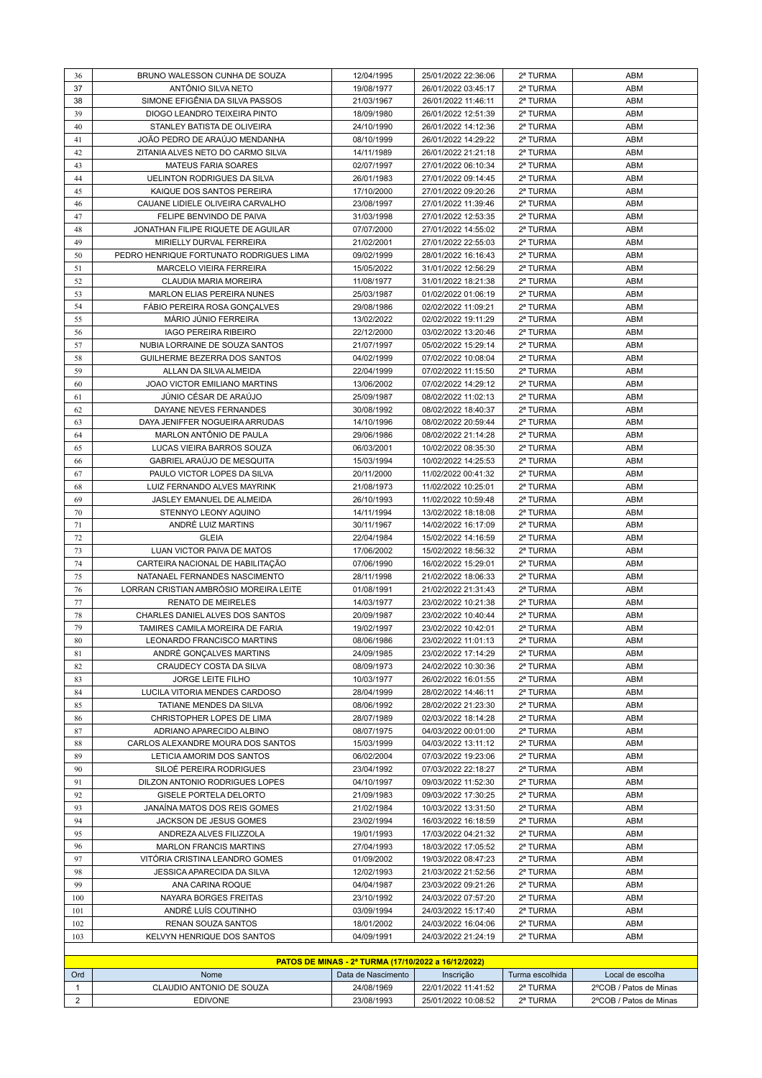| 36           | BRUNO WALESSON CUNHA DE SOUZA           | 12/04/1995                                          | 25/01/2022 22:36:06 | 2ª TURMA        | ABM                    |
|--------------|-----------------------------------------|-----------------------------------------------------|---------------------|-----------------|------------------------|
| 37           | ANTÔNIO SILVA NETO                      | 19/08/1977                                          | 26/01/2022 03:45:17 | 2ª TURMA        | ABM                    |
| 38           | SIMONE EFIGÊNIA DA SILVA PASSOS         | 21/03/1967                                          | 26/01/2022 11:46:11 | 2ª TURMA        | ABM                    |
| 39           | DIOGO LEANDRO TEIXEIRA PINTO            | 18/09/1980                                          | 26/01/2022 12:51:39 | 2ª TURMA        | ABM                    |
| 40           | STANLEY BATISTA DE OLIVEIRA             | 24/10/1990                                          | 26/01/2022 14:12:36 | 2ª TURMA        | ABM                    |
| 41           | JOAO PEDRO DE ARAÚJO MENDANHA           | 08/10/1999                                          | 26/01/2022 14:29:22 | 2ª TURMA        | ABM                    |
| 42           | ZITANIA ALVES NETO DO CARMO SILVA       | 14/11/1989                                          | 26/01/2022 21:21:18 | 2ª TURMA        | ABM                    |
| 43           | <b>MATEUS FARIA SOARES</b>              | 02/07/1997                                          | 27/01/2022 06:10:34 | 2ª TURMA        | ABM                    |
|              |                                         |                                                     |                     |                 |                        |
| 44           | <b>UELINTON RODRIGUES DA SILVA</b>      | 26/01/1983                                          | 27/01/2022 09:14:45 | 2ª TURMA        | ABM                    |
| 45           | KAIQUE DOS SANTOS PEREIRA               | 17/10/2000                                          | 27/01/2022 09:20:26 | 2ª TURMA        | ABM                    |
| 46           | CAUANE LIDIELE OLIVEIRA CARVALHO        | 23/08/1997                                          | 27/01/2022 11:39:46 | 2ª TURMA        | ABM                    |
| 47           | FELIPE BENVINDO DE PAIVA                | 31/03/1998                                          | 27/01/2022 12:53:35 | 2ª TURMA        | ABM                    |
| 48           | JONATHAN FILIPE RIQUETE DE AGUILAR      | 07/07/2000                                          | 27/01/2022 14:55:02 | 2ª TURMA        | ABM                    |
| 49           | MIRIELLY DURVAL FERREIRA                | 21/02/2001                                          | 27/01/2022 22:55:03 | 2ª TURMA        | ABM                    |
| 50           | PEDRO HENRIQUE FORTUNATO RODRIGUES LIMA | 09/02/1999                                          | 28/01/2022 16:16:43 | 2ª TURMA        | ABM                    |
| 51           | MARCELO VIEIRA FERREIRA                 | 15/05/2022                                          | 31/01/2022 12:56:29 | 2ª TURMA        | ABM                    |
| 52           | CLAUDIA MARIA MOREIRA                   | 11/08/1977                                          | 31/01/2022 18:21:38 | 2ª TURMA        | ABM                    |
| 53           | MARLON ELIAS PEREIRA NUNES              | 25/03/1987                                          | 01/02/2022 01:06:19 | 2ª TURMA        | ABM                    |
| 54           | FÁBIO PEREIRA ROSA GONÇALVES            | 29/08/1986                                          | 02/02/2022 11:09:21 | 2ª TURMA        | ABM                    |
| 55           | MÁRIO JÚNIO FERREIRA                    | 13/02/2022                                          | 02/02/2022 19:11:29 | 2ª TURMA        | ABM                    |
| 56           | <b>IAGO PEREIRA RIBEIRO</b>             | 22/12/2000                                          | 03/02/2022 13:20:46 | 2ª TURMA        | ABM                    |
|              |                                         |                                                     |                     | 2ª TURMA        | ABM                    |
| 57           | NUBIA LORRAINE DE SOUZA SANTOS          | 21/07/1997                                          | 05/02/2022 15:29:14 |                 |                        |
| 58           | GUILHERME BEZERRA DOS SANTOS            | 04/02/1999                                          | 07/02/2022 10:08:04 | 2ª TURMA        | ABM                    |
| 59           | ALLAN DA SILVA ALMEIDA                  | 22/04/1999                                          | 07/02/2022 11:15:50 | 2ª TURMA        | ABM                    |
| 60           | JOAO VICTOR EMILIANO MARTINS            | 13/06/2002                                          | 07/02/2022 14:29:12 | 2ª TURMA        | ABM                    |
| 61           | JÚNIO CÉSAR DE ARAÚJO                   | 25/09/1987                                          | 08/02/2022 11:02:13 | 2ª TURMA        | ABM                    |
| 62           | DAYANE NEVES FERNANDES                  | 30/08/1992                                          | 08/02/2022 18:40:37 | 2ª TURMA        | ABM                    |
| 63           | DAYA JENIFFER NOGUEIRA ARRUDAS          | 14/10/1996                                          | 08/02/2022 20:59:44 | 2ª TURMA        | ABM                    |
| 64           | MARLON ANTÔNIO DE PAULA                 | 29/06/1986                                          | 08/02/2022 21:14:28 | 2ª TURMA        | ABM                    |
| 65           | LUCAS VIEIRA BARROS SOUZA               | 06/03/2001                                          | 10/02/2022 08:35:30 | 2ª TURMA        | ABM                    |
| 66           | GABRIEL ARAÚJO DE MESQUITA              | 15/03/1994                                          | 10/02/2022 14:25:53 | 2ª TURMA        | ABM                    |
| 67           | PAULO VICTOR LOPES DA SILVA             | 20/11/2000                                          | 11/02/2022 00:41:32 | 2ª TURMA        | ABM                    |
| 68           | LUIZ FERNANDO ALVES MAYRINK             | 21/08/1973                                          | 11/02/2022 10:25:01 | 2ª TURMA        | ABM                    |
| 69           | JASLEY EMANUEL DE ALMEIDA               | 26/10/1993                                          | 11/02/2022 10:59:48 | 2ª TURMA        | <b>ABM</b>             |
| 70           | STENNYO LEONY AQUINO                    | 14/11/1994                                          | 13/02/2022 18:18:08 | 2ª TURMA        | ABM                    |
|              |                                         |                                                     |                     |                 |                        |
| 71           | ANDRÉ LUIZ MARTINS                      | 30/11/1967                                          | 14/02/2022 16:17:09 | 2ª TURMA        | ABM                    |
| 72           | <b>GLEIA</b>                            | 22/04/1984                                          | 15/02/2022 14:16:59 | 2ª TURMA        | ABM                    |
| 73           | LUAN VICTOR PAIVA DE MATOS              | 17/06/2002                                          | 15/02/2022 18:56:32 | 2ª TURMA        | ABM                    |
| 74           | CARTEIRA NACIONAL DE HABILITAÇÃO        | 07/06/1990                                          | 16/02/2022 15:29:01 | 2ª TURMA        | ABM                    |
| 75           | NATANAEL FERNANDES NASCIMENTO           | 28/11/1998                                          | 21/02/2022 18:06:33 | 2ª TURMA        | ABM                    |
| 76           | LORRAN CRISTIAN AMBRÓSIO MOREIRA LEITE  | 01/08/1991                                          | 21/02/2022 21:31:43 | 2ª TURMA        | ABM                    |
| 77           | <b>RENATO DE MEIRELES</b>               | 14/03/1977                                          | 23/02/2022 10:21:38 | 2ª TURMA        | ABM                    |
| 78           | CHARLES DANIEL ALVES DOS SANTOS         | 20/09/1987                                          | 23/02/2022 10:40:44 | 2ª TURMA        | ABM                    |
| 79           | TAMIRES CAMILA MOREIRA DE FARIA         | 19/02/1997                                          | 23/02/2022 10:42:01 | 2ª TURMA        | ABM                    |
| 80           | LEONARDO FRANCISCO MARTINS              | 08/06/1986                                          | 23/02/2022 11:01:13 | 2ª TURMA        | ABM                    |
| 81           | ANDRÉ GONCALVES MARTINS                 | 24/09/1985                                          | 23/02/2022 17:14:29 | 2ª TURMA        | ABM                    |
| 82           | CRAUDECY COSTA DA SILVA                 | 08/09/1973                                          | 24/02/2022 10:30:36 | 2ª TURMA        | ABM                    |
| 83           | JORGE LEITE FILHO                       | 10/03/1977                                          | 26/02/2022 16:01:55 | 2ª TURMA        | ABM                    |
| 84           | LUCILA VITORIA MENDES CARDOSO           | 28/04/1999                                          | 28/02/2022 14:46:11 | 2ª TURMA        | ABM                    |
| 85           | TATIANE MENDES DA SILVA                 | 08/06/1992                                          | 28/02/2022 21:23:30 | 2ª TURMA        | ABM                    |
|              |                                         |                                                     |                     |                 |                        |
| 86           | CHRISTOPHER LOPES DE LIMA               | 28/07/1989                                          | 02/03/2022 18:14:28 | 2ª TURMA        | ABM                    |
| 87           | ADRIANO APARECIDO ALBINO                | 08/07/1975                                          | 04/03/2022 00:01:00 | 2ª TURMA        | ABM                    |
| 88           | CARLOS ALEXANDRE MOURA DOS SANTOS       | 15/03/1999                                          | 04/03/2022 13:11:12 | 2ª TURMA        | ABM                    |
| 89           | LETICIA AMORIM DOS SANTOS               | 06/02/2004                                          | 07/03/2022 19:23:06 | 2ª TURMA        | ABM                    |
| 90           | SILOÉ PEREIRA RODRIGUES                 | 23/04/1992                                          | 07/03/2022 22:18:27 | 2ª TURMA        | ABM                    |
| 91           | DILZON ANTONIO RODRIGUES LOPES          | 04/10/1997                                          | 09/03/2022 11:52:30 | 2ª TURMA        | ABM                    |
| 92           | GISELE PORTELA DELORTO                  | 21/09/1983                                          | 09/03/2022 17:30:25 | 2ª TURMA        | ABM                    |
| 93           | JANAINA MATOS DOS REIS GOMES            | 21/02/1984                                          | 10/03/2022 13:31:50 | 2ª TURMA        | ABM                    |
| 94           | JACKSON DE JESUS GOMES                  | 23/02/1994                                          | 16/03/2022 16:18:59 | 2ª TURMA        | ABM                    |
| 95           | ANDREZA ALVES FILIZZOLA                 | 19/01/1993                                          | 17/03/2022 04:21:32 | 2ª TURMA        | ABM                    |
| 96           | <b>MARLON FRANCIS MARTINS</b>           | 27/04/1993                                          | 18/03/2022 17:05:52 | 2ª TURMA        | ABM                    |
| 97           | VITÓRIA CRISTINA LEANDRO GOMES          | 01/09/2002                                          | 19/03/2022 08:47:23 | 2ª TURMA        | ABM                    |
| 98           | JESSICA APARECIDA DA SILVA              | 12/02/1993                                          | 21/03/2022 21:52:56 | 2ª TURMA        | ABM                    |
| 99           | ANA CARINA ROQUE                        | 04/04/1987                                          | 23/03/2022 09:21:26 | 2ª TURMA        | ABM                    |
|              |                                         |                                                     |                     |                 |                        |
| 100          | NAYARA BORGES FREITAS                   | 23/10/1992                                          | 24/03/2022 07:57:20 | 2ª TURMA        | ABM                    |
| 101          | ANDRÉ LUÍS COUTINHO                     | 03/09/1994                                          | 24/03/2022 15:17:40 | 2ª TURMA        | ABM                    |
| 102          | RENAN SOUZA SANTOS                      | 18/01/2002                                          | 24/03/2022 16:04:06 | 2ª TURMA        | ABM                    |
| 103          | KELVYN HENRIQUE DOS SANTOS              | 04/09/1991                                          | 24/03/2022 21:24:19 | 2ª TURMA        | ABM                    |
|              |                                         |                                                     |                     |                 |                        |
|              |                                         | PATOS DE MINAS - 2ª TURMA (17/10/2022 a 16/12/2022) |                     |                 |                        |
| Ord          | Nome                                    | Data de Nascimento                                  | Inscrição           | Turma escolhida | Local de escolha       |
| $\mathbf{1}$ | CLAUDIO ANTONIO DE SOUZA                | 24/08/1969                                          | 22/01/2022 11:41:52 | 2ª TURMA        | 2°COB / Patos de Minas |
| 2            | <b>EDIVONE</b>                          | 23/08/1993                                          | 25/01/2022 10:08:52 | 2ª TURMA        | 2°COB / Patos de Minas |
|              |                                         |                                                     |                     |                 |                        |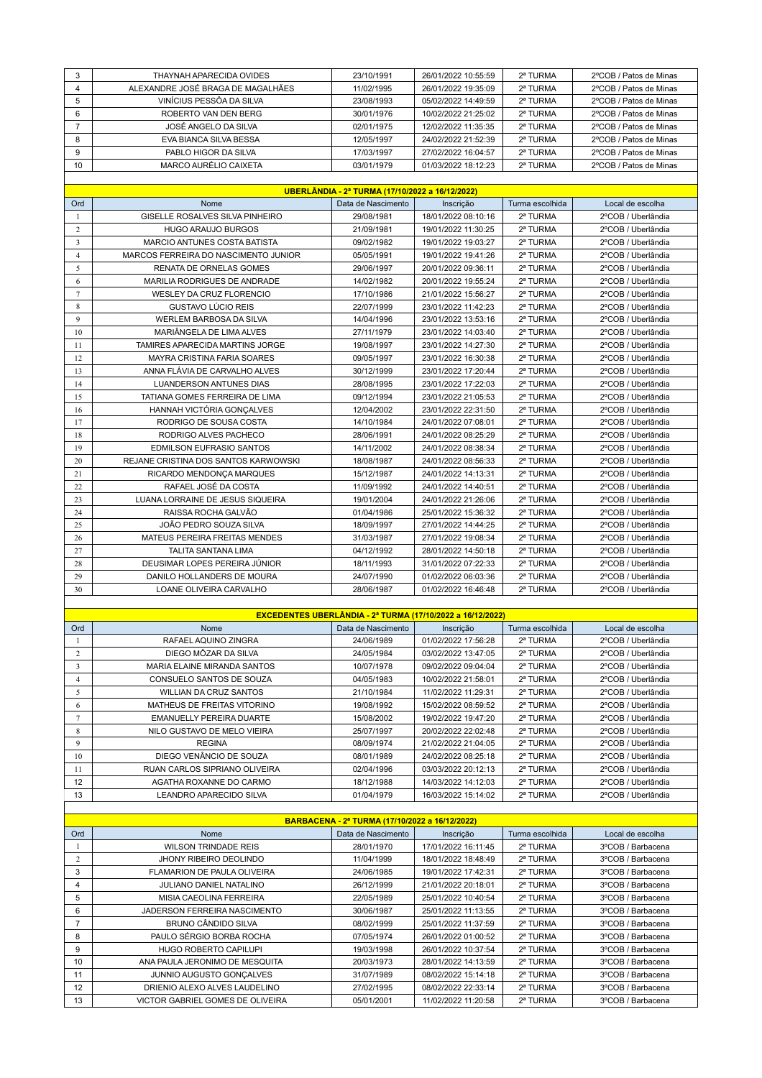| 3<br>2ª TURMA<br>THAYNAH APARECIDA OVIDES<br>23/10/1991<br>26/01/2022 10:55:59<br>4<br>ALEXANDRE JOSÉ BRAGA DE MAGALHÃES<br>11/02/1995<br>26/01/2022 19:35:09<br>2ª TURMA<br>5<br>VINÍCIUS PESSÕA DA SILVA<br>23/08/1993<br>05/02/2022 14:49:59<br>2ª TURMA<br>6<br>ROBERTO VAN DEN BERG<br>10/02/2022 21:25:02<br>2ª TURMA<br>30/01/1976<br>$\overline{7}$<br>JOSÉ ANGELO DA SILVA<br>02/01/1975<br>12/02/2022 11:35:35<br>2ª TURMA<br>8<br>EVA BIANCA SILVA BESSA<br>12/05/1997<br>24/02/2022 21:52:39<br>2ª TURMA<br>9<br>PABLO HIGOR DA SILVA<br>2ª TURMA<br>17/03/1997<br>27/02/2022 16:04:57<br>MARCO AURÉLIO CAIXETA<br>10<br>03/01/1979<br>01/03/2022 18:12:23<br>2ª TURMA<br>UBERLÂNDIA - 2ª TURMA (17/10/2022 a 16/12/2022)<br>Ord<br>Nome<br>Data de Nascimento<br>Turma escolhida<br>Inscrição<br><b>GISELLE ROSALVES SILVA PINHEIRO</b><br>29/08/1981<br>18/01/2022 08:10:16<br>2ª TURMA<br>1<br>2<br><b>HUGO ARAUJO BURGOS</b><br>2ª TURMA<br>21/09/1981<br>19/01/2022 11:30:25<br>$\overline{\mathbf{3}}$<br>MARCIO ANTUNES COSTA BATISTA<br>09/02/1982<br>19/01/2022 19:03:27<br>2ª TURMA<br>$\overline{4}$<br>MARCOS FERREIRA DO NASCIMENTO JUNIOR<br>05/05/1991<br>19/01/2022 19:41:26<br>2ª TURMA<br>5<br>RENATA DE ORNELAS GOMES<br>29/06/1997<br>20/01/2022 09:36:11<br>2ª TURMA<br>MARILIA RODRIGUES DE ANDRADE<br>14/02/1982<br>20/01/2022 19:55:24<br>2ª TURMA<br>6<br>$\tau$<br>WESLEY DA CRUZ FLORENCIO<br>17/10/1986<br>21/01/2022 15:56:27<br>2ª TURMA<br>8<br>GUSTAVO LÚCIO REIS<br>2ª TURMA<br>22/07/1999<br>23/01/2022 11:42:23<br>9<br><b>WERLEM BARBOSA DA SILVA</b><br>14/04/1996<br>23/01/2022 13:53:16<br>2ª TURMA<br>MARIÂNGELA DE LIMA ALVES<br>27/11/1979<br>23/01/2022 14:03:40<br>2ª TURMA<br>10<br>11<br>TAMIRES APARECIDA MARTINS JORGE<br>23/01/2022 14:27:30<br>2ª TURMA<br>19/08/1997<br>12<br>MAYRA CRISTINA FARIA SOARES<br>23/01/2022 16:30:38<br>2ª TURMA<br>09/05/1997<br>13<br>ANNA FLÁVIA DE CARVALHO ALVES<br>2ª TURMA<br>30/12/1999<br>23/01/2022 17:20:44<br>2ª TURMA<br>14<br>LUANDERSON ANTUNES DIAS<br>28/08/1995<br>23/01/2022 17:22:03<br>TATIANA GOMES FERREIRA DE LIMA<br>09/12/1994<br>23/01/2022 21:05:53<br>2ª TURMA<br>15<br>16<br>HANNAH VICTÓRIA GONÇALVES<br>12/04/2002<br>23/01/2022 22:31:50<br>2ª TURMA<br>17<br>RODRIGO DE SOUSA COSTA<br>2ª TURMA<br>14/10/1984<br>24/01/2022 07:08:01<br>RODRIGO ALVES PACHECO<br>2ª TURMA<br>18<br>28/06/1991<br>24/01/2022 08:25:29<br><b>EDMILSON EUFRASIO SANTOS</b><br>19<br>14/11/2002<br>24/01/2022 08:38:34<br>2ª TURMA<br>REJANE CRISTINA DOS SANTOS KARWOWSKI<br>2ª TURMA<br>20<br>18/08/1987<br>24/01/2022 08:56:33<br>21<br>RICARDO MENDONÇA MARQUES<br>15/12/1987<br>24/01/2022 14:13:31<br>2ª TURMA<br>22<br>RAFAEL JOSÉ DA COSTA<br>2ª TURMA<br>11/09/1992<br>24/01/2022 14:40:51<br>23<br>LUANA LORRAINE DE JESUS SIQUEIRA<br>19/01/2004<br>24/01/2022 21:26:06<br>2ª TURMA<br>RAISSA ROCHA GALVÃO<br>2ª TURMA<br>24<br>01/04/1986<br>25/01/2022 15:36:32<br>25<br>JOÃO PEDRO SOUZA SILVA<br>18/09/1997<br>27/01/2022 14:44:25<br>2ª TURMA<br>26<br>MATEUS PEREIRA FREITAS MENDES<br>31/03/1987<br>27/01/2022 19:08:34<br>2ª TURMA<br>27<br><b>TALITA SANTANA LIMA</b><br>04/12/1992<br>28/01/2022 14:50:18<br>2ª TURMA<br>DEUSIMAR LOPES PEREIRA JÚNIOR<br>2ª TURMA<br>28<br>18/11/1993<br>31/01/2022 07:22:33<br>29<br>DANILO HOLLANDERS DE MOURA<br>24/07/1990<br>01/02/2022 06:03:36<br>2ª TURMA |    |                         |            |                     |          |                        |
|----------------------------------------------------------------------------------------------------------------------------------------------------------------------------------------------------------------------------------------------------------------------------------------------------------------------------------------------------------------------------------------------------------------------------------------------------------------------------------------------------------------------------------------------------------------------------------------------------------------------------------------------------------------------------------------------------------------------------------------------------------------------------------------------------------------------------------------------------------------------------------------------------------------------------------------------------------------------------------------------------------------------------------------------------------------------------------------------------------------------------------------------------------------------------------------------------------------------------------------------------------------------------------------------------------------------------------------------------------------------------------------------------------------------------------------------------------------------------------------------------------------------------------------------------------------------------------------------------------------------------------------------------------------------------------------------------------------------------------------------------------------------------------------------------------------------------------------------------------------------------------------------------------------------------------------------------------------------------------------------------------------------------------------------------------------------------------------------------------------------------------------------------------------------------------------------------------------------------------------------------------------------------------------------------------------------------------------------------------------------------------------------------------------------------------------------------------------------------------------------------------------------------------------------------------------------------------------------------------------------------------------------------------------------------------------------------------------------------------------------------------------------------------------------------------------------------------------------------------------------------------------------------------------------------------------------------------------------------------------------------------------------------------------------------------------------------------------------------------------------------------------------------------------------------------------------------------------------------------------------------------------------------------------------------------------------------------------------------------------------------------------------------------------------------------|----|-------------------------|------------|---------------------|----------|------------------------|
|                                                                                                                                                                                                                                                                                                                                                                                                                                                                                                                                                                                                                                                                                                                                                                                                                                                                                                                                                                                                                                                                                                                                                                                                                                                                                                                                                                                                                                                                                                                                                                                                                                                                                                                                                                                                                                                                                                                                                                                                                                                                                                                                                                                                                                                                                                                                                                                                                                                                                                                                                                                                                                                                                                                                                                                                                                                                                                                                                                                                                                                                                                                                                                                                                                                                                                                                                                                                                                  |    |                         |            |                     |          | 2°COB / Patos de Minas |
|                                                                                                                                                                                                                                                                                                                                                                                                                                                                                                                                                                                                                                                                                                                                                                                                                                                                                                                                                                                                                                                                                                                                                                                                                                                                                                                                                                                                                                                                                                                                                                                                                                                                                                                                                                                                                                                                                                                                                                                                                                                                                                                                                                                                                                                                                                                                                                                                                                                                                                                                                                                                                                                                                                                                                                                                                                                                                                                                                                                                                                                                                                                                                                                                                                                                                                                                                                                                                                  |    |                         |            |                     |          | 2°COB / Patos de Minas |
|                                                                                                                                                                                                                                                                                                                                                                                                                                                                                                                                                                                                                                                                                                                                                                                                                                                                                                                                                                                                                                                                                                                                                                                                                                                                                                                                                                                                                                                                                                                                                                                                                                                                                                                                                                                                                                                                                                                                                                                                                                                                                                                                                                                                                                                                                                                                                                                                                                                                                                                                                                                                                                                                                                                                                                                                                                                                                                                                                                                                                                                                                                                                                                                                                                                                                                                                                                                                                                  |    |                         |            |                     |          | 2°COB / Patos de Minas |
|                                                                                                                                                                                                                                                                                                                                                                                                                                                                                                                                                                                                                                                                                                                                                                                                                                                                                                                                                                                                                                                                                                                                                                                                                                                                                                                                                                                                                                                                                                                                                                                                                                                                                                                                                                                                                                                                                                                                                                                                                                                                                                                                                                                                                                                                                                                                                                                                                                                                                                                                                                                                                                                                                                                                                                                                                                                                                                                                                                                                                                                                                                                                                                                                                                                                                                                                                                                                                                  |    |                         |            |                     |          | 2°COB / Patos de Minas |
|                                                                                                                                                                                                                                                                                                                                                                                                                                                                                                                                                                                                                                                                                                                                                                                                                                                                                                                                                                                                                                                                                                                                                                                                                                                                                                                                                                                                                                                                                                                                                                                                                                                                                                                                                                                                                                                                                                                                                                                                                                                                                                                                                                                                                                                                                                                                                                                                                                                                                                                                                                                                                                                                                                                                                                                                                                                                                                                                                                                                                                                                                                                                                                                                                                                                                                                                                                                                                                  |    |                         |            |                     |          | 2°COB / Patos de Minas |
|                                                                                                                                                                                                                                                                                                                                                                                                                                                                                                                                                                                                                                                                                                                                                                                                                                                                                                                                                                                                                                                                                                                                                                                                                                                                                                                                                                                                                                                                                                                                                                                                                                                                                                                                                                                                                                                                                                                                                                                                                                                                                                                                                                                                                                                                                                                                                                                                                                                                                                                                                                                                                                                                                                                                                                                                                                                                                                                                                                                                                                                                                                                                                                                                                                                                                                                                                                                                                                  |    |                         |            |                     |          | 2°COB / Patos de Minas |
|                                                                                                                                                                                                                                                                                                                                                                                                                                                                                                                                                                                                                                                                                                                                                                                                                                                                                                                                                                                                                                                                                                                                                                                                                                                                                                                                                                                                                                                                                                                                                                                                                                                                                                                                                                                                                                                                                                                                                                                                                                                                                                                                                                                                                                                                                                                                                                                                                                                                                                                                                                                                                                                                                                                                                                                                                                                                                                                                                                                                                                                                                                                                                                                                                                                                                                                                                                                                                                  |    |                         |            |                     |          | 2°COB / Patos de Minas |
|                                                                                                                                                                                                                                                                                                                                                                                                                                                                                                                                                                                                                                                                                                                                                                                                                                                                                                                                                                                                                                                                                                                                                                                                                                                                                                                                                                                                                                                                                                                                                                                                                                                                                                                                                                                                                                                                                                                                                                                                                                                                                                                                                                                                                                                                                                                                                                                                                                                                                                                                                                                                                                                                                                                                                                                                                                                                                                                                                                                                                                                                                                                                                                                                                                                                                                                                                                                                                                  |    |                         |            |                     |          | 2°COB / Patos de Minas |
|                                                                                                                                                                                                                                                                                                                                                                                                                                                                                                                                                                                                                                                                                                                                                                                                                                                                                                                                                                                                                                                                                                                                                                                                                                                                                                                                                                                                                                                                                                                                                                                                                                                                                                                                                                                                                                                                                                                                                                                                                                                                                                                                                                                                                                                                                                                                                                                                                                                                                                                                                                                                                                                                                                                                                                                                                                                                                                                                                                                                                                                                                                                                                                                                                                                                                                                                                                                                                                  |    |                         |            |                     |          |                        |
|                                                                                                                                                                                                                                                                                                                                                                                                                                                                                                                                                                                                                                                                                                                                                                                                                                                                                                                                                                                                                                                                                                                                                                                                                                                                                                                                                                                                                                                                                                                                                                                                                                                                                                                                                                                                                                                                                                                                                                                                                                                                                                                                                                                                                                                                                                                                                                                                                                                                                                                                                                                                                                                                                                                                                                                                                                                                                                                                                                                                                                                                                                                                                                                                                                                                                                                                                                                                                                  |    |                         |            |                     |          |                        |
|                                                                                                                                                                                                                                                                                                                                                                                                                                                                                                                                                                                                                                                                                                                                                                                                                                                                                                                                                                                                                                                                                                                                                                                                                                                                                                                                                                                                                                                                                                                                                                                                                                                                                                                                                                                                                                                                                                                                                                                                                                                                                                                                                                                                                                                                                                                                                                                                                                                                                                                                                                                                                                                                                                                                                                                                                                                                                                                                                                                                                                                                                                                                                                                                                                                                                                                                                                                                                                  |    |                         |            |                     |          | Local de escolha       |
|                                                                                                                                                                                                                                                                                                                                                                                                                                                                                                                                                                                                                                                                                                                                                                                                                                                                                                                                                                                                                                                                                                                                                                                                                                                                                                                                                                                                                                                                                                                                                                                                                                                                                                                                                                                                                                                                                                                                                                                                                                                                                                                                                                                                                                                                                                                                                                                                                                                                                                                                                                                                                                                                                                                                                                                                                                                                                                                                                                                                                                                                                                                                                                                                                                                                                                                                                                                                                                  |    |                         |            |                     |          | 2°COB / Uberlândia     |
|                                                                                                                                                                                                                                                                                                                                                                                                                                                                                                                                                                                                                                                                                                                                                                                                                                                                                                                                                                                                                                                                                                                                                                                                                                                                                                                                                                                                                                                                                                                                                                                                                                                                                                                                                                                                                                                                                                                                                                                                                                                                                                                                                                                                                                                                                                                                                                                                                                                                                                                                                                                                                                                                                                                                                                                                                                                                                                                                                                                                                                                                                                                                                                                                                                                                                                                                                                                                                                  |    |                         |            |                     |          | 2°COB / Uberlândia     |
|                                                                                                                                                                                                                                                                                                                                                                                                                                                                                                                                                                                                                                                                                                                                                                                                                                                                                                                                                                                                                                                                                                                                                                                                                                                                                                                                                                                                                                                                                                                                                                                                                                                                                                                                                                                                                                                                                                                                                                                                                                                                                                                                                                                                                                                                                                                                                                                                                                                                                                                                                                                                                                                                                                                                                                                                                                                                                                                                                                                                                                                                                                                                                                                                                                                                                                                                                                                                                                  |    |                         |            |                     |          | 2°COB / Uberlândia     |
|                                                                                                                                                                                                                                                                                                                                                                                                                                                                                                                                                                                                                                                                                                                                                                                                                                                                                                                                                                                                                                                                                                                                                                                                                                                                                                                                                                                                                                                                                                                                                                                                                                                                                                                                                                                                                                                                                                                                                                                                                                                                                                                                                                                                                                                                                                                                                                                                                                                                                                                                                                                                                                                                                                                                                                                                                                                                                                                                                                                                                                                                                                                                                                                                                                                                                                                                                                                                                                  |    |                         |            |                     |          | 2°COB / Uberlândia     |
|                                                                                                                                                                                                                                                                                                                                                                                                                                                                                                                                                                                                                                                                                                                                                                                                                                                                                                                                                                                                                                                                                                                                                                                                                                                                                                                                                                                                                                                                                                                                                                                                                                                                                                                                                                                                                                                                                                                                                                                                                                                                                                                                                                                                                                                                                                                                                                                                                                                                                                                                                                                                                                                                                                                                                                                                                                                                                                                                                                                                                                                                                                                                                                                                                                                                                                                                                                                                                                  |    |                         |            |                     |          | 2°COB / Uberlândia     |
|                                                                                                                                                                                                                                                                                                                                                                                                                                                                                                                                                                                                                                                                                                                                                                                                                                                                                                                                                                                                                                                                                                                                                                                                                                                                                                                                                                                                                                                                                                                                                                                                                                                                                                                                                                                                                                                                                                                                                                                                                                                                                                                                                                                                                                                                                                                                                                                                                                                                                                                                                                                                                                                                                                                                                                                                                                                                                                                                                                                                                                                                                                                                                                                                                                                                                                                                                                                                                                  |    |                         |            |                     |          | 2°COB / Uberlândia     |
|                                                                                                                                                                                                                                                                                                                                                                                                                                                                                                                                                                                                                                                                                                                                                                                                                                                                                                                                                                                                                                                                                                                                                                                                                                                                                                                                                                                                                                                                                                                                                                                                                                                                                                                                                                                                                                                                                                                                                                                                                                                                                                                                                                                                                                                                                                                                                                                                                                                                                                                                                                                                                                                                                                                                                                                                                                                                                                                                                                                                                                                                                                                                                                                                                                                                                                                                                                                                                                  |    |                         |            |                     |          | 2°COB / Uberlândia     |
|                                                                                                                                                                                                                                                                                                                                                                                                                                                                                                                                                                                                                                                                                                                                                                                                                                                                                                                                                                                                                                                                                                                                                                                                                                                                                                                                                                                                                                                                                                                                                                                                                                                                                                                                                                                                                                                                                                                                                                                                                                                                                                                                                                                                                                                                                                                                                                                                                                                                                                                                                                                                                                                                                                                                                                                                                                                                                                                                                                                                                                                                                                                                                                                                                                                                                                                                                                                                                                  |    |                         |            |                     |          | 2°COB / Uberlândia     |
|                                                                                                                                                                                                                                                                                                                                                                                                                                                                                                                                                                                                                                                                                                                                                                                                                                                                                                                                                                                                                                                                                                                                                                                                                                                                                                                                                                                                                                                                                                                                                                                                                                                                                                                                                                                                                                                                                                                                                                                                                                                                                                                                                                                                                                                                                                                                                                                                                                                                                                                                                                                                                                                                                                                                                                                                                                                                                                                                                                                                                                                                                                                                                                                                                                                                                                                                                                                                                                  |    |                         |            |                     |          | 2°COB / Uberlândia     |
|                                                                                                                                                                                                                                                                                                                                                                                                                                                                                                                                                                                                                                                                                                                                                                                                                                                                                                                                                                                                                                                                                                                                                                                                                                                                                                                                                                                                                                                                                                                                                                                                                                                                                                                                                                                                                                                                                                                                                                                                                                                                                                                                                                                                                                                                                                                                                                                                                                                                                                                                                                                                                                                                                                                                                                                                                                                                                                                                                                                                                                                                                                                                                                                                                                                                                                                                                                                                                                  |    |                         |            |                     |          | 2°COB / Uberlândia     |
|                                                                                                                                                                                                                                                                                                                                                                                                                                                                                                                                                                                                                                                                                                                                                                                                                                                                                                                                                                                                                                                                                                                                                                                                                                                                                                                                                                                                                                                                                                                                                                                                                                                                                                                                                                                                                                                                                                                                                                                                                                                                                                                                                                                                                                                                                                                                                                                                                                                                                                                                                                                                                                                                                                                                                                                                                                                                                                                                                                                                                                                                                                                                                                                                                                                                                                                                                                                                                                  |    |                         |            |                     |          | 2°COB / Uberlândia     |
|                                                                                                                                                                                                                                                                                                                                                                                                                                                                                                                                                                                                                                                                                                                                                                                                                                                                                                                                                                                                                                                                                                                                                                                                                                                                                                                                                                                                                                                                                                                                                                                                                                                                                                                                                                                                                                                                                                                                                                                                                                                                                                                                                                                                                                                                                                                                                                                                                                                                                                                                                                                                                                                                                                                                                                                                                                                                                                                                                                                                                                                                                                                                                                                                                                                                                                                                                                                                                                  |    |                         |            |                     |          | 2°COB / Uberlândia     |
|                                                                                                                                                                                                                                                                                                                                                                                                                                                                                                                                                                                                                                                                                                                                                                                                                                                                                                                                                                                                                                                                                                                                                                                                                                                                                                                                                                                                                                                                                                                                                                                                                                                                                                                                                                                                                                                                                                                                                                                                                                                                                                                                                                                                                                                                                                                                                                                                                                                                                                                                                                                                                                                                                                                                                                                                                                                                                                                                                                                                                                                                                                                                                                                                                                                                                                                                                                                                                                  |    |                         |            |                     |          | 2°COB / Uberlândia     |
|                                                                                                                                                                                                                                                                                                                                                                                                                                                                                                                                                                                                                                                                                                                                                                                                                                                                                                                                                                                                                                                                                                                                                                                                                                                                                                                                                                                                                                                                                                                                                                                                                                                                                                                                                                                                                                                                                                                                                                                                                                                                                                                                                                                                                                                                                                                                                                                                                                                                                                                                                                                                                                                                                                                                                                                                                                                                                                                                                                                                                                                                                                                                                                                                                                                                                                                                                                                                                                  |    |                         |            |                     |          | 2°COB / Uberlândia     |
|                                                                                                                                                                                                                                                                                                                                                                                                                                                                                                                                                                                                                                                                                                                                                                                                                                                                                                                                                                                                                                                                                                                                                                                                                                                                                                                                                                                                                                                                                                                                                                                                                                                                                                                                                                                                                                                                                                                                                                                                                                                                                                                                                                                                                                                                                                                                                                                                                                                                                                                                                                                                                                                                                                                                                                                                                                                                                                                                                                                                                                                                                                                                                                                                                                                                                                                                                                                                                                  |    |                         |            |                     |          | 2°COB / Uberlândia     |
|                                                                                                                                                                                                                                                                                                                                                                                                                                                                                                                                                                                                                                                                                                                                                                                                                                                                                                                                                                                                                                                                                                                                                                                                                                                                                                                                                                                                                                                                                                                                                                                                                                                                                                                                                                                                                                                                                                                                                                                                                                                                                                                                                                                                                                                                                                                                                                                                                                                                                                                                                                                                                                                                                                                                                                                                                                                                                                                                                                                                                                                                                                                                                                                                                                                                                                                                                                                                                                  |    |                         |            |                     |          | 2°COB / Uberlândia     |
|                                                                                                                                                                                                                                                                                                                                                                                                                                                                                                                                                                                                                                                                                                                                                                                                                                                                                                                                                                                                                                                                                                                                                                                                                                                                                                                                                                                                                                                                                                                                                                                                                                                                                                                                                                                                                                                                                                                                                                                                                                                                                                                                                                                                                                                                                                                                                                                                                                                                                                                                                                                                                                                                                                                                                                                                                                                                                                                                                                                                                                                                                                                                                                                                                                                                                                                                                                                                                                  |    |                         |            |                     |          | 2°COB / Uberlândia     |
|                                                                                                                                                                                                                                                                                                                                                                                                                                                                                                                                                                                                                                                                                                                                                                                                                                                                                                                                                                                                                                                                                                                                                                                                                                                                                                                                                                                                                                                                                                                                                                                                                                                                                                                                                                                                                                                                                                                                                                                                                                                                                                                                                                                                                                                                                                                                                                                                                                                                                                                                                                                                                                                                                                                                                                                                                                                                                                                                                                                                                                                                                                                                                                                                                                                                                                                                                                                                                                  |    |                         |            |                     |          | 2°COB / Uberlândia     |
|                                                                                                                                                                                                                                                                                                                                                                                                                                                                                                                                                                                                                                                                                                                                                                                                                                                                                                                                                                                                                                                                                                                                                                                                                                                                                                                                                                                                                                                                                                                                                                                                                                                                                                                                                                                                                                                                                                                                                                                                                                                                                                                                                                                                                                                                                                                                                                                                                                                                                                                                                                                                                                                                                                                                                                                                                                                                                                                                                                                                                                                                                                                                                                                                                                                                                                                                                                                                                                  |    |                         |            |                     |          | 2°COB / Uberlândia     |
|                                                                                                                                                                                                                                                                                                                                                                                                                                                                                                                                                                                                                                                                                                                                                                                                                                                                                                                                                                                                                                                                                                                                                                                                                                                                                                                                                                                                                                                                                                                                                                                                                                                                                                                                                                                                                                                                                                                                                                                                                                                                                                                                                                                                                                                                                                                                                                                                                                                                                                                                                                                                                                                                                                                                                                                                                                                                                                                                                                                                                                                                                                                                                                                                                                                                                                                                                                                                                                  |    |                         |            |                     |          | 2°COB / Uberlândia     |
|                                                                                                                                                                                                                                                                                                                                                                                                                                                                                                                                                                                                                                                                                                                                                                                                                                                                                                                                                                                                                                                                                                                                                                                                                                                                                                                                                                                                                                                                                                                                                                                                                                                                                                                                                                                                                                                                                                                                                                                                                                                                                                                                                                                                                                                                                                                                                                                                                                                                                                                                                                                                                                                                                                                                                                                                                                                                                                                                                                                                                                                                                                                                                                                                                                                                                                                                                                                                                                  |    |                         |            |                     |          | 2°COB / Uberlândia     |
|                                                                                                                                                                                                                                                                                                                                                                                                                                                                                                                                                                                                                                                                                                                                                                                                                                                                                                                                                                                                                                                                                                                                                                                                                                                                                                                                                                                                                                                                                                                                                                                                                                                                                                                                                                                                                                                                                                                                                                                                                                                                                                                                                                                                                                                                                                                                                                                                                                                                                                                                                                                                                                                                                                                                                                                                                                                                                                                                                                                                                                                                                                                                                                                                                                                                                                                                                                                                                                  |    |                         |            |                     |          | 2°COB / Uberlândia     |
|                                                                                                                                                                                                                                                                                                                                                                                                                                                                                                                                                                                                                                                                                                                                                                                                                                                                                                                                                                                                                                                                                                                                                                                                                                                                                                                                                                                                                                                                                                                                                                                                                                                                                                                                                                                                                                                                                                                                                                                                                                                                                                                                                                                                                                                                                                                                                                                                                                                                                                                                                                                                                                                                                                                                                                                                                                                                                                                                                                                                                                                                                                                                                                                                                                                                                                                                                                                                                                  |    |                         |            |                     |          | 2°COB / Uberlândia     |
|                                                                                                                                                                                                                                                                                                                                                                                                                                                                                                                                                                                                                                                                                                                                                                                                                                                                                                                                                                                                                                                                                                                                                                                                                                                                                                                                                                                                                                                                                                                                                                                                                                                                                                                                                                                                                                                                                                                                                                                                                                                                                                                                                                                                                                                                                                                                                                                                                                                                                                                                                                                                                                                                                                                                                                                                                                                                                                                                                                                                                                                                                                                                                                                                                                                                                                                                                                                                                                  |    |                         |            |                     |          | 2°COB / Uberlândia     |
|                                                                                                                                                                                                                                                                                                                                                                                                                                                                                                                                                                                                                                                                                                                                                                                                                                                                                                                                                                                                                                                                                                                                                                                                                                                                                                                                                                                                                                                                                                                                                                                                                                                                                                                                                                                                                                                                                                                                                                                                                                                                                                                                                                                                                                                                                                                                                                                                                                                                                                                                                                                                                                                                                                                                                                                                                                                                                                                                                                                                                                                                                                                                                                                                                                                                                                                                                                                                                                  |    |                         |            |                     |          | 2°COB / Uberlândia     |
|                                                                                                                                                                                                                                                                                                                                                                                                                                                                                                                                                                                                                                                                                                                                                                                                                                                                                                                                                                                                                                                                                                                                                                                                                                                                                                                                                                                                                                                                                                                                                                                                                                                                                                                                                                                                                                                                                                                                                                                                                                                                                                                                                                                                                                                                                                                                                                                                                                                                                                                                                                                                                                                                                                                                                                                                                                                                                                                                                                                                                                                                                                                                                                                                                                                                                                                                                                                                                                  |    |                         |            |                     |          | 2°COB / Uberlândia     |
|                                                                                                                                                                                                                                                                                                                                                                                                                                                                                                                                                                                                                                                                                                                                                                                                                                                                                                                                                                                                                                                                                                                                                                                                                                                                                                                                                                                                                                                                                                                                                                                                                                                                                                                                                                                                                                                                                                                                                                                                                                                                                                                                                                                                                                                                                                                                                                                                                                                                                                                                                                                                                                                                                                                                                                                                                                                                                                                                                                                                                                                                                                                                                                                                                                                                                                                                                                                                                                  |    |                         |            |                     |          | 2°COB / Uberlândia     |
|                                                                                                                                                                                                                                                                                                                                                                                                                                                                                                                                                                                                                                                                                                                                                                                                                                                                                                                                                                                                                                                                                                                                                                                                                                                                                                                                                                                                                                                                                                                                                                                                                                                                                                                                                                                                                                                                                                                                                                                                                                                                                                                                                                                                                                                                                                                                                                                                                                                                                                                                                                                                                                                                                                                                                                                                                                                                                                                                                                                                                                                                                                                                                                                                                                                                                                                                                                                                                                  |    |                         |            |                     |          | 2°COB / Uberlândia     |
|                                                                                                                                                                                                                                                                                                                                                                                                                                                                                                                                                                                                                                                                                                                                                                                                                                                                                                                                                                                                                                                                                                                                                                                                                                                                                                                                                                                                                                                                                                                                                                                                                                                                                                                                                                                                                                                                                                                                                                                                                                                                                                                                                                                                                                                                                                                                                                                                                                                                                                                                                                                                                                                                                                                                                                                                                                                                                                                                                                                                                                                                                                                                                                                                                                                                                                                                                                                                                                  |    |                         |            |                     |          | 2°COB / Uberlândia     |
|                                                                                                                                                                                                                                                                                                                                                                                                                                                                                                                                                                                                                                                                                                                                                                                                                                                                                                                                                                                                                                                                                                                                                                                                                                                                                                                                                                                                                                                                                                                                                                                                                                                                                                                                                                                                                                                                                                                                                                                                                                                                                                                                                                                                                                                                                                                                                                                                                                                                                                                                                                                                                                                                                                                                                                                                                                                                                                                                                                                                                                                                                                                                                                                                                                                                                                                                                                                                                                  | 30 | LOANE OLIVEIRA CARVALHO | 28/06/1987 | 01/02/2022 16:46:48 | 2ª TURMA | 2°COB / Uberlândia     |
|                                                                                                                                                                                                                                                                                                                                                                                                                                                                                                                                                                                                                                                                                                                                                                                                                                                                                                                                                                                                                                                                                                                                                                                                                                                                                                                                                                                                                                                                                                                                                                                                                                                                                                                                                                                                                                                                                                                                                                                                                                                                                                                                                                                                                                                                                                                                                                                                                                                                                                                                                                                                                                                                                                                                                                                                                                                                                                                                                                                                                                                                                                                                                                                                                                                                                                                                                                                                                                  |    |                         |            |                     |          |                        |

|     | <b>EXCEDENTES UBERLÂNDIA - 2ª TURMA (17/10/2022 a 16/12/2022)</b> |                    |                     |                 |                    |  |  |
|-----|-------------------------------------------------------------------|--------------------|---------------------|-----------------|--------------------|--|--|
| Ord | Nome                                                              | Data de Nascimento | Inscrição           | Turma escolhida | Local de escolha   |  |  |
|     | RAFAEL AQUINO ZINGRA                                              | 24/06/1989         | 01/02/2022 17:56:28 | 2ª TURMA        | 2°COB / Uberlândia |  |  |
| 2   | DIEGO MÔZAR DA SILVA                                              | 24/05/1984         | 03/02/2022 13:47:05 | 2ª TURMA        | 2°COB / Uberlândia |  |  |
| 3   | <b>MARIA ELAINE MIRANDA SANTOS</b>                                | 10/07/1978         | 09/02/2022 09:04:04 | 2ª TURMA        | 2°COB / Uberlândia |  |  |
| 4   | CONSUELO SANTOS DE SOUZA                                          | 04/05/1983         | 10/02/2022 21:58:01 | 2ª TURMA        | 2°COB / Uberlândia |  |  |
| 5   | WILLIAN DA CRUZ SANTOS                                            | 21/10/1984         | 11/02/2022 11:29:31 | 2ª TURMA        | 2°COB / Uberlândia |  |  |
| 6   | MATHEUS DE FREITAS VITORINO                                       | 19/08/1992         | 15/02/2022 08:59:52 | 2ª TURMA        | 2°COB / Uberlândia |  |  |
| 7   | <b>EMANUELLY PEREIRA DUARTE</b>                                   | 15/08/2002         | 19/02/2022 19:47:20 | 2ª TURMA        | 2°COB / Uberlândia |  |  |
| 8   | NILO GUSTAVO DE MELO VIEIRA                                       | 25/07/1997         | 20/02/2022 22:02:48 | 2ª TURMA        | 2°COB / Uberlândia |  |  |
| 9   | <b>REGINA</b>                                                     | 08/09/1974         | 21/02/2022 21:04:05 | 2ª TURMA        | 2°COB / Uberlândia |  |  |
| 10  | DIEGO VENÂNCIO DE SOUZA                                           | 08/01/1989         | 24/02/2022 08:25:18 | 2ª TURMA        | 2°COB / Uberlândia |  |  |
| 11  | RUAN CARLOS SIPRIANO OLIVEIRA                                     | 02/04/1996         | 03/03/2022 20:12:13 | 2ª TURMA        | 2°COB / Uberlândia |  |  |
| 12  | AGATHA ROXANNE DO CARMO                                           | 18/12/1988         | 14/03/2022 14:12:03 | 2ª TURMA        | 2°COB / Uberlândia |  |  |
| 13  | LEANDRO APARECIDO SILVA                                           | 01/04/1979         | 16/03/2022 15:14:02 | 2ª TURMA        | 2°COB / Uberlândia |  |  |
|     |                                                                   |                    |                     |                 |                    |  |  |

| BARBACENA - 2ª TURMA (17/10/2022 a 16/12/2022) |                                  |                    |                     |                 |                   |  |  |
|------------------------------------------------|----------------------------------|--------------------|---------------------|-----------------|-------------------|--|--|
| Ord                                            | <b>Nome</b>                      | Data de Nascimento | Inscrição           | Turma escolhida | Local de escolha  |  |  |
|                                                | <b>WILSON TRINDADE REIS</b>      | 28/01/1970         | 17/01/2022 16:11:45 | 2ª TURMA        | 3°COB / Barbacena |  |  |
| $\overline{c}$                                 | JHONY RIBEIRO DEOLINDO           | 11/04/1999         | 18/01/2022 18:48:49 | 2ª TURMA        | 3°COB / Barbacena |  |  |
| 3                                              | FLAMARION DE PAULA OLIVEIRA      | 24/06/1985         | 19/01/2022 17:42:31 | 2ª TURMA        | 3°COB / Barbacena |  |  |
| 4                                              | <b>JULIANO DANIEL NATALINO</b>   | 26/12/1999         | 21/01/2022 20:18:01 | 2ª TURMA        | 3°COB / Barbacena |  |  |
| 5                                              | MISIA CAEOLINA FERREIRA          | 22/05/1989         | 25/01/2022 10:40:54 | 2ª TURMA        | 3°COB / Barbacena |  |  |
| 6                                              | JADERSON FERREIRA NASCIMENTO     | 30/06/1987         | 25/01/2022 11:13:55 | 2ª TURMA        | 3°COB / Barbacena |  |  |
| 7                                              | <b>BRUNO CÂNDIDO SILVA</b>       | 08/02/1999         | 25/01/2022 11:37:59 | 2ª TURMA        | 3°COB / Barbacena |  |  |
| 8                                              | PAULO SÉRGIO BORBA ROCHA         | 07/05/1974         | 26/01/2022 01:00:52 | 2ª TURMA        | 3°COB / Barbacena |  |  |
| 9                                              | <b>HUGO ROBERTO CAPILUPI</b>     | 19/03/1998         | 26/01/2022 10:37:54 | 2ª TURMA        | 3°COB / Barbacena |  |  |
| 10                                             | ANA PAULA JERONIMO DE MESQUITA   | 20/03/1973         | 28/01/2022 14:13:59 | 2ª TURMA        | 3°COB / Barbacena |  |  |
| 11                                             | JUNNIO AUGUSTO GONCALVES         | 31/07/1989         | 08/02/2022 15:14:18 | 2ª TURMA        | 3°COB / Barbacena |  |  |
| 12                                             | DRIENIO ALEXO ALVES LAUDELINO    | 27/02/1995         | 08/02/2022 22:33:14 | 2ª TURMA        | 3°COB / Barbacena |  |  |
| 13                                             | VICTOR GABRIEL GOMES DE OLIVEIRA | 05/01/2001         | 11/02/2022 11:20:58 | 2ª TURMA        | 3°COB / Barbacena |  |  |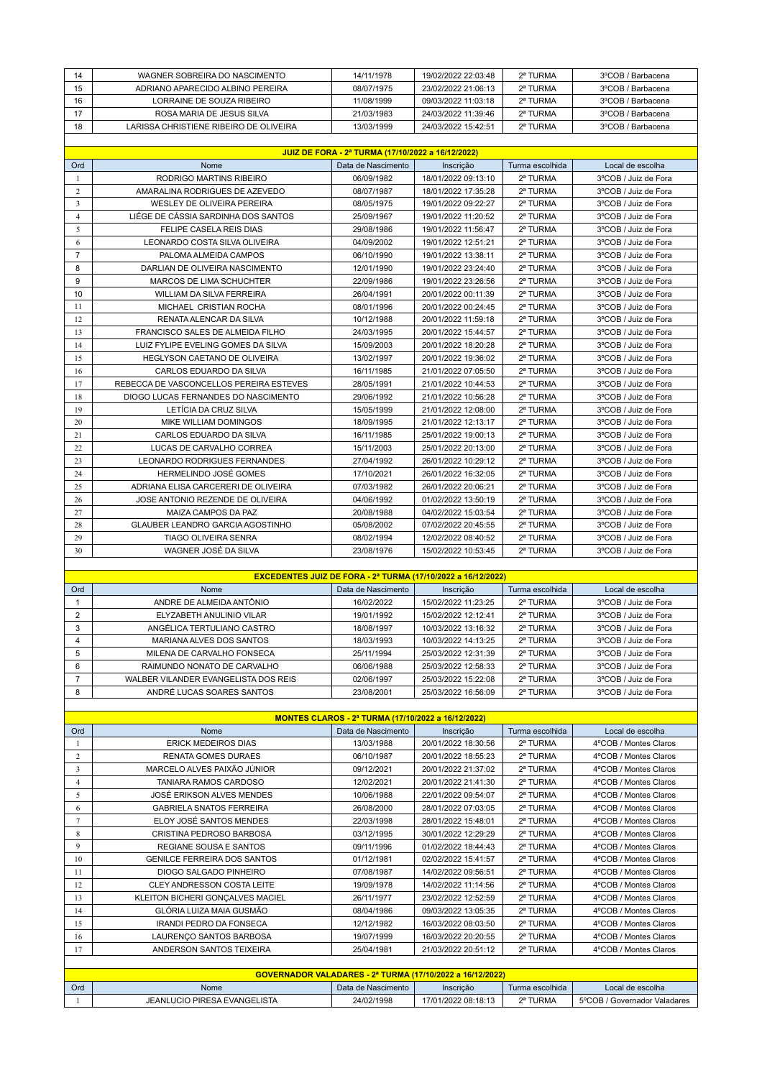| 14             | WAGNER SOBREIRA DO NASCIMENTO                                       | 14/11/1978                                        | 19/02/2022 22:03:48 | 2ª TURMA        | 3°COB / Barbacena    |  |  |  |
|----------------|---------------------------------------------------------------------|---------------------------------------------------|---------------------|-----------------|----------------------|--|--|--|
| 15             | ADRIANO APARECIDO ALBINO PEREIRA                                    | 08/07/1975                                        | 23/02/2022 21:06:13 | 2ª TURMA        | 3°COB / Barbacena    |  |  |  |
| 16             | LORRAINE DE SOUZA RIBEIRO                                           | 11/08/1999                                        | 09/03/2022 11:03:18 | 2ª TURMA        | 3°COB / Barbacena    |  |  |  |
| 17             | ROSA MARIA DE JESUS SILVA                                           | 21/03/1983                                        | 24/03/2022 11:39:46 | 2ª TURMA        | 3°COB / Barbacena    |  |  |  |
| 18             | LARISSA CHRISTIENE RIBEIRO DE OLIVEIRA                              | 13/03/1999                                        | 24/03/2022 15:42:51 | 2ª TURMA        | 3°COB / Barbacena    |  |  |  |
|                |                                                                     |                                                   |                     |                 |                      |  |  |  |
|                |                                                                     | JUIZ DE FORA - 2ª TURMA (17/10/2022 a 16/12/2022) |                     |                 |                      |  |  |  |
| Ord            | Nome                                                                | Data de Nascimento                                | Inscrição           | Turma escolhida | Local de escolha     |  |  |  |
| 1              | RODRIGO MARTINS RIBEIRO                                             | 06/09/1982                                        | 18/01/2022 09:13:10 | 2ª TURMA        | 3°COB / Juiz de Fora |  |  |  |
| $\overline{c}$ | AMARALINA RODRIGUES DE AZEVEDO                                      | 08/07/1987                                        | 18/01/2022 17:35:28 | 2ª TURMA        | 3°COB / Juiz de Fora |  |  |  |
| 3              | WESLEY DE OLIVEIRA PEREIRA                                          | 08/05/1975                                        | 19/01/2022 09:22:27 | 2ª TURMA        | 3°COB / Juiz de Fora |  |  |  |
| $\overline{4}$ | LIÉGE DE CÁSSIA SARDINHA DOS SANTOS                                 | 25/09/1967                                        | 19/01/2022 11:20:52 | 2ª TURMA        | 3°COB / Juiz de Fora |  |  |  |
| 5              | FELIPE CASELA REIS DIAS                                             | 29/08/1986                                        | 19/01/2022 11:56:47 | 2ª TURMA        | 3°COB / Juiz de Fora |  |  |  |
| 6              | LEONARDO COSTA SILVA OLIVEIRA                                       | 04/09/2002                                        | 19/01/2022 12:51:21 | 2ª TURMA        | 3°COB / Juiz de Fora |  |  |  |
| $\overline{7}$ | PALOMA ALMEIDA CAMPOS                                               | 06/10/1990                                        | 19/01/2022 13:38:11 | 2ª TURMA        | 3°COB / Juiz de Fora |  |  |  |
| 8              | DARLIAN DE OLIVEIRA NASCIMENTO                                      | 12/01/1990                                        | 19/01/2022 23:24:40 | 2ª TURMA        | 3°COB / Juiz de Fora |  |  |  |
| 9              | MARCOS DE LIMA SCHUCHTER                                            | 22/09/1986                                        | 19/01/2022 23:26:56 | 2ª TURMA        | 3°COB / Juiz de Fora |  |  |  |
| 10             | WILLIAM DA SILVA FERREIRA                                           | 26/04/1991                                        | 20/01/2022 00:11:39 | 2ª TURMA        | 3°COB / Juiz de Fora |  |  |  |
| 11             | MICHAEL CRISTIAN ROCHA                                              | 08/01/1996                                        | 20/01/2022 00:24:45 | 2ª TURMA        | 3°COB / Juiz de Fora |  |  |  |
| 12             | RENATA ALENCAR DA SILVA                                             | 10/12/1988                                        | 20/01/2022 11:59:18 | 2ª TURMA        | 3°COB / Juiz de Fora |  |  |  |
| 13             | FRANCISCO SALES DE ALMEIDA FILHO                                    | 24/03/1995                                        | 20/01/2022 15:44:57 | 2ª TURMA        | 3°COB / Juiz de Fora |  |  |  |
| 14             | LUIZ FYLIPE EVELING GOMES DA SILVA                                  | 15/09/2003                                        | 20/01/2022 18:20:28 | 2ª TURMA        | 3°COB / Juiz de Fora |  |  |  |
| 15             | HEGLYSON CAETANO DE OLIVEIRA                                        | 13/02/1997                                        | 20/01/2022 19:36:02 | 2ª TURMA        | 3°COB / Juiz de Fora |  |  |  |
| 16             | CARLOS EDUARDO DA SILVA                                             | 16/11/1985                                        | 21/01/2022 07:05:50 | 2ª TURMA        | 3°COB / Juiz de Fora |  |  |  |
| 17             | REBECCA DE VASCONCELLOS PEREIRA ESTEVES                             | 28/05/1991                                        | 21/01/2022 10:44:53 | 2ª TURMA        | 3°COB / Juiz de Fora |  |  |  |
| 18             | DIOGO LUCAS FERNANDES DO NASCIMENTO                                 | 29/06/1992                                        | 21/01/2022 10:56:28 | 2ª TURMA        | 3°COB / Juiz de Fora |  |  |  |
| 19             | LETÍCIA DA CRUZ SILVA                                               | 15/05/1999                                        | 21/01/2022 12:08:00 | 2ª TURMA        | 3°COB / Juiz de Fora |  |  |  |
| 20             | MIKE WILLIAM DOMINGOS                                               | 18/09/1995                                        | 21/01/2022 12:13:17 | 2ª TURMA        | 3°COB / Juiz de Fora |  |  |  |
| 21             | CARLOS EDUARDO DA SILVA                                             | 16/11/1985                                        | 25/01/2022 19:00:13 | 2ª TURMA        | 3°COB / Juiz de Fora |  |  |  |
| 22             | LUCAS DE CARVALHO CORREA                                            | 15/11/2003                                        | 25/01/2022 20:13:00 | 2ª TURMA        | 3°COB / Juiz de Fora |  |  |  |
| 23             | <b>LEONARDO RODRIGUES FERNANDES</b>                                 | 27/04/1992                                        | 26/01/2022 10:29:12 | 2ª TURMA        | 3°COB / Juiz de Fora |  |  |  |
| 24             | HERMELINDO JOSÉ GOMES                                               | 17/10/2021                                        | 26/01/2022 16:32:05 | 2ª TURMA        | 3°COB / Juiz de Fora |  |  |  |
| 25             | ADRIANA ELISA CARCERERI DE OLIVEIRA                                 | 07/03/1982                                        | 26/01/2022 20:06:21 | 2ª TURMA        | 3°COB / Juiz de Fora |  |  |  |
| 26             | JOSE ANTONIO REZENDE DE OLIVEIRA                                    | 04/06/1992                                        | 01/02/2022 13:50:19 | 2ª TURMA        | 3°COB / Juiz de Fora |  |  |  |
| 27             | MAIZA CAMPOS DA PAZ                                                 | 20/08/1988                                        | 04/02/2022 15:03:54 | 2ª TURMA        | 3°COB / Juiz de Fora |  |  |  |
| 28             | GLAUBER LEANDRO GARCIA AGOSTINHO                                    | 05/08/2002                                        | 07/02/2022 20:45:55 | 2ª TURMA        | 3°COB / Juiz de Fora |  |  |  |
| 29             | <b>TIAGO OLIVEIRA SENRA</b>                                         | 08/02/1994                                        | 12/02/2022 08:40:52 | 2ª TURMA        | 3°COB / Juiz de Fora |  |  |  |
| 30             | WAGNER JOSÉ DA SILVA                                                | 23/08/1976                                        | 15/02/2022 10:53:45 | 2ª TURMA        | 3°COB / Juiz de Fora |  |  |  |
|                |                                                                     |                                                   |                     |                 |                      |  |  |  |
|                | <b>EXCEDENTES JUIZ DE FORA - 2ª TURMA (17/10/2022 a 16/12/2022)</b> |                                                   |                     |                 |                      |  |  |  |

| Ord | Nome                                 | Data de Nascimento | Inscricão           | Turma escolhida | Local de escolha     |  |  |
|-----|--------------------------------------|--------------------|---------------------|-----------------|----------------------|--|--|
|     | ANDRE DE ALMEIDA ANTÔNIO             | 16/02/2022         | 15/02/2022 11:23:25 | 2ª TURMA        | 3°COB / Juiz de Fora |  |  |
|     | ELYZABETH ANULINIO VILAR             | 19/01/1992         | 15/02/2022 12:12:41 | 2ª TURMA        | 3°COB / Juiz de Fora |  |  |
|     | ANGÉLICA TERTULIANO CASTRO           | 18/08/1997         | 10/03/2022 13:16:32 | 2ª TURMA        | 3°COB / Juiz de Fora |  |  |
|     | MARIANA ALVES DOS SANTOS             | 18/03/1993         | 10/03/2022 14:13:25 | 2ª TURMA        | 3°COB / Juiz de Fora |  |  |
|     | MILENA DE CARVALHO FONSECA           | 25/11/1994         | 25/03/2022 12:31:39 | 2ª TURMA        | 3°COB / Juiz de Fora |  |  |
|     | RAIMUNDO NONATO DE CARVALHO          | 06/06/1988         | 25/03/2022 12:58:33 | 2ª TURMA        | 3°COB / Juiz de Fora |  |  |
|     | WALBER VILANDER EVANGELISTA DOS REIS | 02/06/1997         | 25/03/2022 15:22:08 | 2ª TURMA        | 3°COB / Juiz de Fora |  |  |
|     | ANDRÉ LUCAS SOARES SANTOS            | 23/08/2001         | 25/03/2022 16:56:09 | 2ª TURMA        | 3°COB / Juiz de Fora |  |  |

| MONTES CLAROS - 2ª TURMA (17/10/2022 a 16/12/2022) |                                    |                    |                     |                 |                       |  |  |
|----------------------------------------------------|------------------------------------|--------------------|---------------------|-----------------|-----------------------|--|--|
| Ord                                                | Nome                               | Data de Nascimento | Inscrição           | Turma escolhida | Local de escolha      |  |  |
|                                                    | <b>ERICK MEDEIROS DIAS</b>         | 13/03/1988         | 20/01/2022 18:30:56 | 2ª TURMA        | 4°COB / Montes Claros |  |  |
| $\overline{c}$                                     | <b>RENATA GOMES DURAES</b>         | 06/10/1987         | 20/01/2022 18:55:23 | 2ª TURMA        | 4°COB / Montes Claros |  |  |
| 3                                                  | MARCELO ALVES PAIXÃO JÚNIOR        | 09/12/2021         | 20/01/2022 21:37:02 | 2ª TURMA        | 4°COB / Montes Claros |  |  |
| 4                                                  | TANIARA RAMOS CARDOSO              | 12/02/2021         | 20/01/2022 21:41:30 | 2ª TURMA        | 4°COB / Montes Claros |  |  |
| 5.                                                 | <b>JOSÉ ERIKSON ALVES MENDES</b>   | 10/06/1988         | 22/01/2022 09:54:07 | 2ª TURMA        | 4°COB / Montes Claros |  |  |
| 6                                                  | <b>GABRIELA SNATOS FERREIRA</b>    | 26/08/2000         | 28/01/2022 07:03:05 | 2ª TURMA        | 4°COB / Montes Claros |  |  |
| 7                                                  | ELOY JOSÉ SANTOS MENDES            | 22/03/1998         | 28/01/2022 15:48:01 | 2ª TURMA        | 4°COB / Montes Claros |  |  |
| 8                                                  | CRISTINA PEDROSO BARBOSA           | 03/12/1995         | 30/01/2022 12:29:29 | 2ª TURMA        | 4°COB / Montes Claros |  |  |
| 9                                                  | <b>REGIANE SOUSA E SANTOS</b>      | 09/11/1996         | 01/02/2022 18:44:43 | 2ª TURMA        | 4°COB / Montes Claros |  |  |
| 10                                                 | <b>GENILCE FERREIRA DOS SANTOS</b> | 01/12/1981         | 02/02/2022 15:41:57 | 2ª TURMA        | 4°COB / Montes Claros |  |  |
| 11                                                 | DIOGO SALGADO PINHEIRO             | 07/08/1987         | 14/02/2022 09:56:51 | 2ª TURMA        | 4°COB / Montes Claros |  |  |
| 12                                                 | CLEY ANDRESSON COSTA LEITE         | 19/09/1978         | 14/02/2022 11:14:56 | 2ª TURMA        | 4°COB / Montes Claros |  |  |
| 13                                                 | KLEITON BICHERI GONÇALVES MACIEL   | 26/11/1977         | 23/02/2022 12:52:59 | 2ª TURMA        | 4°COB / Montes Claros |  |  |
| 14                                                 | GLÓRIA LUIZA MAIA GUSMÃO           | 08/04/1986         | 09/03/2022 13:05:35 | 2ª TURMA        | 4°COB / Montes Claros |  |  |
| 15                                                 | <b>IRANDI PEDRO DA FONSECA</b>     | 12/12/1982         | 16/03/2022 08:03:50 | 2ª TURMA        | 4°COB / Montes Claros |  |  |
| 16                                                 | LAURENÇO SANTOS BARBOSA            | 19/07/1999         | 16/03/2022 20:20:55 | 2ª TURMA        | 4°COB / Montes Claros |  |  |
| 17                                                 | ANDERSON SANTOS TEIXEIRA           | 25/04/1981         | 21/03/2022 20:51:12 | 2ª TURMA        | 4°COB / Montes Claros |  |  |

| <b>GOVERNADOR VALADARES - 2ª TURMA (17/10/2022 a 16/12/2022)</b> |                              |                    |                     |                 |                              |  |  |
|------------------------------------------------------------------|------------------------------|--------------------|---------------------|-----------------|------------------------------|--|--|
| Ord                                                              | Nome                         | Data de Nascimento | Inscricão           | Turma escolhida | Local de escolha             |  |  |
|                                                                  | JEANLUCIO PIRESA EVANGELISTA | 24/02/1998         | 17/01/2022 08:18:13 | 2ª TURMA        | 5°COB / Governador Valadares |  |  |